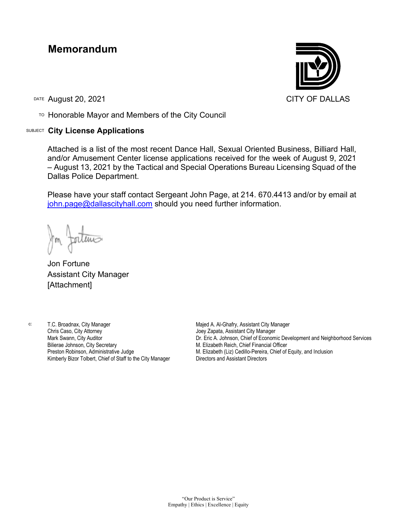## **Memorandum**

DATE August 20, 2021 CITY OF DALLAS

TO Honorable Mayor and Members of the City Council

## SUBJECT **City License Applications**



Attached is a list of the most recent Dance Hall, Sexual Oriented Business, Billiard Hall, and/or Amusement Center license applications received for the week of August 9, 2021 – August 13, 2021 by the Tactical and Special Operations Bureau Licensing Squad of the Dallas Police Department.

Please have your staff contact Sergeant John Page, at 214. 670.4413 and/or by email at [john.page@dallascityhall.com](mailto:john.page@dallascityhall.com) should you need further information.

Jon Fortune Assistant City Manager [Attachment]

c: T.C. Broadnax, City Manager Chris Caso, City Attorney Mark Swann, City Auditor Bilierae Johnson, City Secretary Preston Robinson, Administrative Judge Kimberly Bizor Tolbert, Chief of Staff to the City Manager

Majed A. Al-Ghafry, Assistant City Manager Joey Zapata, Assistant City Manager Dr. Eric A. Johnson, Chief of Economic Development and Neighborhood Services M. Elizabeth Reich, Chief Financial Officer M. Elizabeth (Liz) Cedillo-Pereira, Chief of Equity, and Inclusion Directors and Assistant Directors